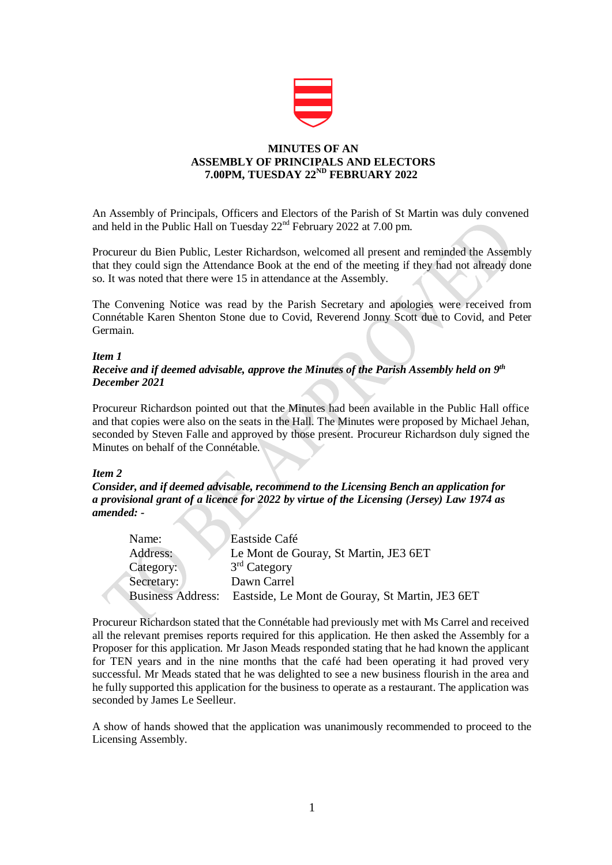

# **MINUTES OF AN ASSEMBLY OF PRINCIPALS AND ELECTORS 7.00PM, TUESDAY 22ND FEBRUARY 2022**

An Assembly of Principals, Officers and Electors of the Parish of St Martin was duly convened and held in the Public Hall on Tuesday  $22<sup>nd</sup>$  February 2022 at 7.00 pm.

Procureur du Bien Public, Lester Richardson, welcomed all present and reminded the Assembly that they could sign the Attendance Book at the end of the meeting if they had not already done so. It was noted that there were 15 in attendance at the Assembly.

The Convening Notice was read by the Parish Secretary and apologies were received from Connétable Karen Shenton Stone due to Covid, Reverend Jonny Scott due to Covid, and Peter Germain.

### *Item 1*

# *Receive and if deemed advisable, approve the Minutes of the Parish Assembly held on 9 th December 2021*

Procureur Richardson pointed out that the Minutes had been available in the Public Hall office and that copies were also on the seats in the Hall. The Minutes were proposed by Michael Jehan, seconded by Steven Falle and approved by those present. Procureur Richardson duly signed the Minutes on behalf of the Connétable.

## *Item 2*

*Consider, and if deemed advisable, recommend to the Licensing Bench an application for a provisional grant of a licence for 2022 by virtue of the Licensing (Jersey) Law 1974 as amended: -*

| Name:                    | Eastside Café                                   |
|--------------------------|-------------------------------------------------|
| Address:                 | Le Mont de Gouray, St Martin, JE3 6ET           |
| Category:                | 3 <sup>rd</sup> Category                        |
| Secretary:               | Dawn Carrel                                     |
| <b>Business Address:</b> | Eastside, Le Mont de Gouray, St Martin, JE3 6ET |

Procureur Richardson stated that the Connétable had previously met with Ms Carrel and received all the relevant premises reports required for this application. He then asked the Assembly for a Proposer for this application. Mr Jason Meads responded stating that he had known the applicant for TEN years and in the nine months that the café had been operating it had proved very successful. Mr Meads stated that he was delighted to see a new business flourish in the area and he fully supported this application for the business to operate as a restaurant. The application was seconded by James Le Seelleur.

A show of hands showed that the application was unanimously recommended to proceed to the Licensing Assembly.